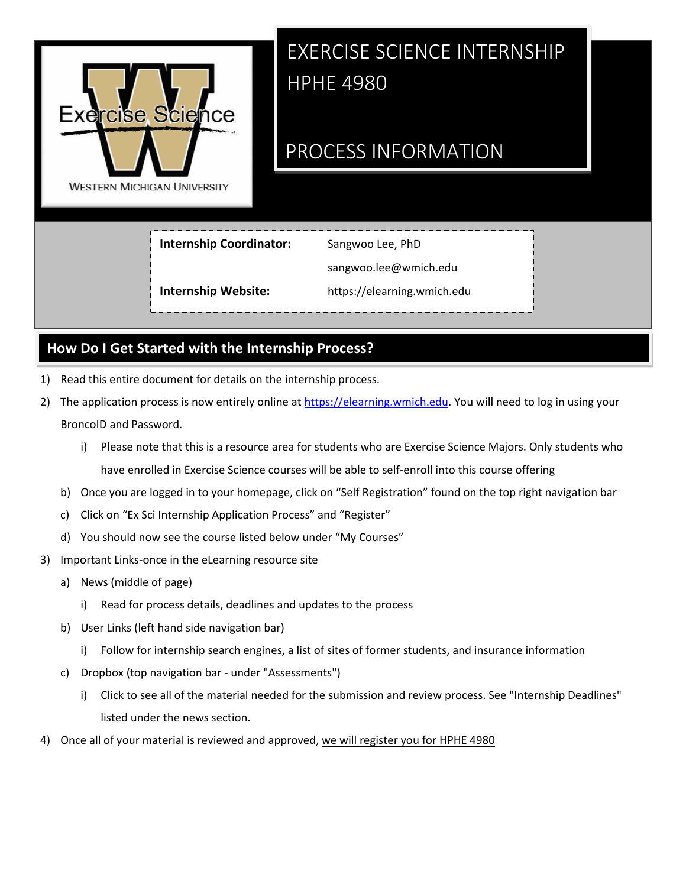

# EXERCISE SCIENCE INTERNSHIP HPHE 4980

## PROCESS INFORMATION

**Internship Coordinator:**

Sangwoo Lee, PhD

sangwoo.lee[@wmich.edu](mailto:amy.gyorkos@wmich.edu)

**Internship Website:**

https://elearning.wmich.edu

## **How Do I Get Started with the Internship Process?**

- 1) Read this entire document for details on the internship process.
- 2) The application process is now entirely online a[t https://elearning.wmich.edu.](https://elearning.wmich.edu/) You will need to log in using your BroncoID and Password.
	- i) Please note that this is a resource area for students who are Exercise Science Majors. Only students who have enrolled in Exercise Science courses will be able to self-enroll into this course offering
	- b) Once you are logged in to your homepage, click on "Self Registration" found on the top right navigation bar
	- c) Click on "Ex Sci Internship Application Process" and "Register"
	- d) You should now see the course listed below under "My Courses"
- 3) Important Links-once in the eLearning resource site
	- a) News (middle of page)
		- i) Read for process details, deadlines and updates to the process
	- b) User Links (left hand side navigation bar)
		- i) Follow for internship search engines, a list of sites of former students, and insurance information
	- c) Dropbox (top navigation bar under "Assessments")
		- i) Click to see all of the material needed for the submission and review process. See "Internship Deadlines" listed under the news section.
- 4) Once all of your material is reviewed and approved, we will register you for HPHE 4980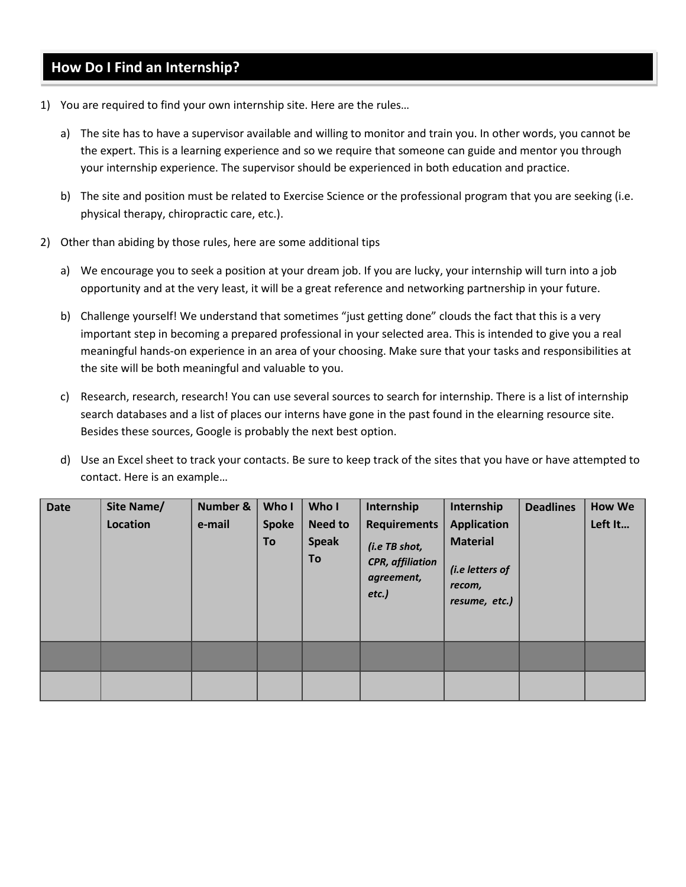#### **How Do I Find an Internship?**

- 1) You are required to find your own internship site. Here are the rules…
	- a) The site has to have a supervisor available and willing to monitor and train you. In other words, you cannot be the expert. This is a learning experience and so we require that someone can guide and mentor you through your internship experience. The supervisor should be experienced in both education and practice.
	- b) The site and position must be related to Exercise Science or the professional program that you are seeking (i.e. physical therapy, chiropractic care, etc.).
- 2) Other than abiding by those rules, here are some additional tips
	- a) We encourage you to seek a position at your dream job. If you are lucky, your internship will turn into a job opportunity and at the very least, it will be a great reference and networking partnership in your future.
	- b) Challenge yourself! We understand that sometimes "just getting done" clouds the fact that this is a very important step in becoming a prepared professional in your selected area. This is intended to give you a real meaningful hands-on experience in an area of your choosing. Make sure that your tasks and responsibilities at the site will be both meaningful and valuable to you.
	- c) Research, research, research! You can use several sources to search for internship. There is a list of internship search databases and a list of places our interns have gone in the past found in the elearning resource site. Besides these sources, Google is probably the next best option.
	- d) Use an Excel sheet to track your contacts. Be sure to keep track of the sites that you have or have attempted to contact. Here is an example…

| <b>Date</b> | Site Name/ | Number & | Who I              | Who I                                | Internship                                                                                | Internship                                                                          | <b>Deadlines</b> | <b>How We</b> |
|-------------|------------|----------|--------------------|--------------------------------------|-------------------------------------------------------------------------------------------|-------------------------------------------------------------------------------------|------------------|---------------|
|             | Location   | e-mail   | <b>Spoke</b><br>To | <b>Need to</b><br><b>Speak</b><br>To | <b>Requirements</b><br>(i.e TB shot,<br><b>CPR, affiliation</b><br>agreement,<br>$etc.$ ) | <b>Application</b><br><b>Material</b><br>(i.e letters of<br>recom,<br>resume, etc.) |                  | Left It       |
|             |            |          |                    |                                      |                                                                                           |                                                                                     |                  |               |
|             |            |          |                    |                                      |                                                                                           |                                                                                     |                  |               |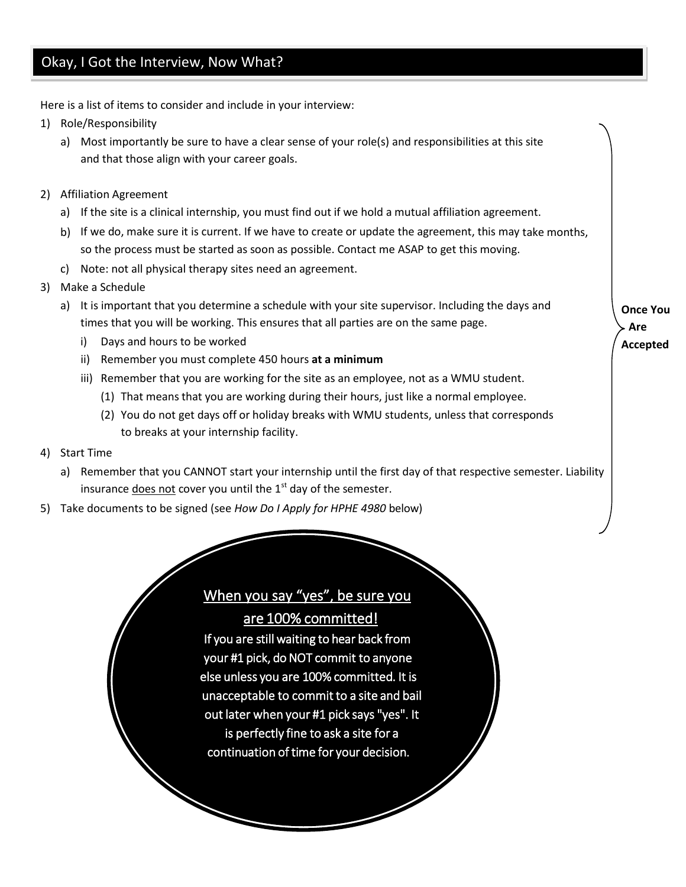#### Okay, I Got the Interview, Now What?

Here is a list of items to consider and include in your interview:

- 1) Role/Responsibility
	- a) Most importantly be sure to have a clear sense of your role(s) and responsibilities at this site and that those align with your career goals.
- 2) Affiliation Agreement
	- a) If the site is a clinical internship, you must find out if we hold a mutual affiliation agreement.
	- b) If we do, make sure it is current. If we have to create or update the agreement, this may take months, so the process must be started as soon as possible. Contact me ASAP to get this moving.
	- c) Note: not all physical therapy sites need an agreement.
- 3) Make a Schedule
	- a) It is important that you determine a schedule with your site supervisor. Including the days and times that you will be working. This ensures that all parties are on the same page.
		- i) Days and hours to be worked
		- ii) Remember you must complete 450 hours **at a minimum**
		- iii) Remember that you are working for the site as an employee, not as a WMU student.
			- (1) That means that you are working during their hours, just like a normal employee.
			- (2) You do not get days off or holiday breaks with WMU students, unless that corresponds to breaks at your internship facility.
- 4) Start Time
	- a) Remember that you CANNOT start your internship until the first day of that respective semester. Liability insurance does not cover you until the  $1<sup>st</sup>$  day of the semester.
- 5) Take documents to be signed (see *How Do I Apply for HPHE 4980* below)

## When you say "yes", be sure you

are 100% committed!

If you are still waiting to hear back from your #1 pick, do NOT commit to anyone else unless you are 100% committed. It is unacceptable to commit to a site and bail out later when your #1 pick says "yes". It is perfectly fine to ask a site for a continuation of time for your decision.

**Once You Are Accepted**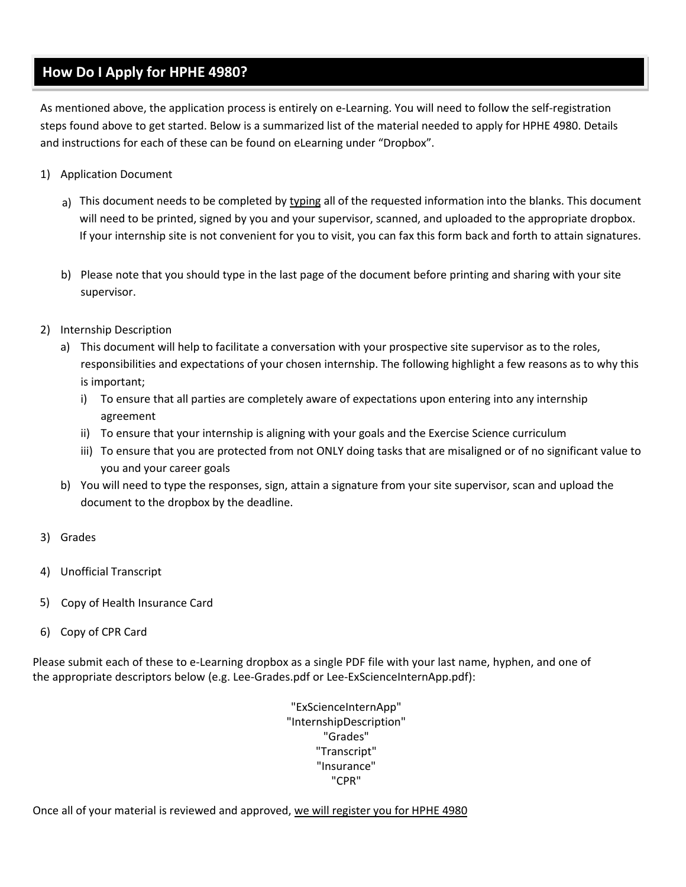#### **How Do I Apply for HPHE 4980?**

As mentioned above, the application process is entirely on e-Learning. You will need to follow the self-registration steps found above to get started. Below is a summarized list of the material needed to apply for HPHE 4980. Details and instructions for each of these can be found on eLearning under "Dropbox".

- 1) Application Document
	- a) This document needs to be completed by typing all of the requested information into the blanks. This document will need to be printed, signed by you and your supervisor, scanned, and uploaded to the appropriate dropbox. If your internship site is not convenient for you to visit, you can fax this form back and forth to attain signatures.
	- b) Please note that you should type in the last page of the document before printing and sharing with your site supervisor.
- 2) Internship Description
	- a) This document will help to facilitate a conversation with your prospective site supervisor as to the roles, responsibilities and expectations of your chosen internship. The following highlight a few reasons as to why this is important;
		- i) To ensure that all parties are completely aware of expectations upon entering into any internship agreement
		- ii) To ensure that your internship is aligning with your goals and the Exercise Science curriculum
		- iii) To ensure that you are protected from not ONLY doing tasks that are misaligned or of no significant value to you and your career goals
	- b) You will need to type the responses, sign, attain a signature from your site supervisor, scan and upload the document to the dropbox by the deadline.
- 3) Grades
- 4) Unofficial Transcript
- 5) Copy of Health Insurance Card
- 6) Copy of CPR Card

Please submit each of these to e-Learning dropbox as a single PDF file with your last name, hyphen, and one of the appropriate descriptors below (e.g. Lee-Grades.pdf or Lee-ExScienceInternApp.pdf):

> "ExScienceInternApp" "InternshipDescription" "Grades" "Transcript" "Insurance" "CPR"

Once all of your material is reviewed and approved, we will register you for HPHE 4980